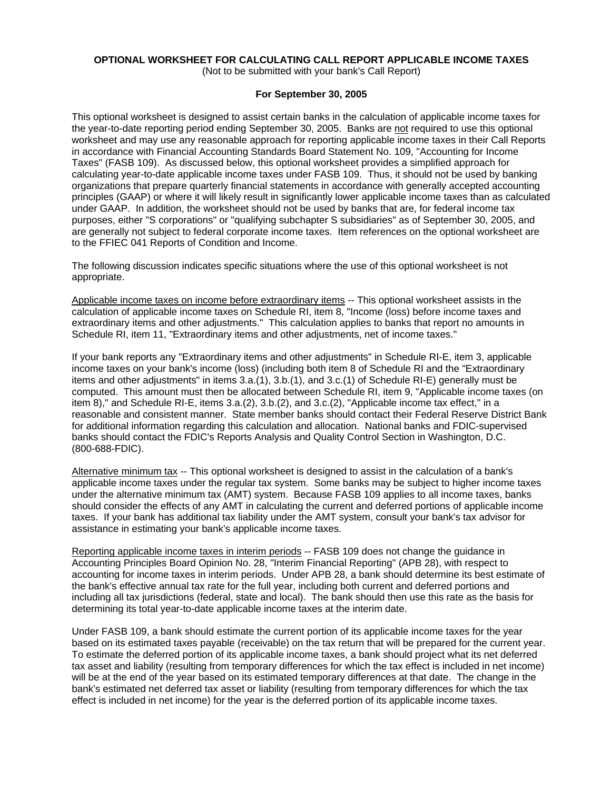# **OPTIONAL WORKSHEET FOR CALCULATING CALL REPORT APPLICABLE INCOME TAXES**

(Not to be submitted with your bank's Call Report)

### **For September 30, 2005**

This optional worksheet is designed to assist certain banks in the calculation of applicable income taxes for the year-to-date reporting period ending September 30, 2005. Banks are not required to use this optional worksheet and may use any reasonable approach for reporting applicable income taxes in their Call Reports in accordance with Financial Accounting Standards Board Statement No. 109, "Accounting for Income Taxes" (FASB 109). As discussed below, this optional worksheet provides a simplified approach for calculating year-to-date applicable income taxes under FASB 109. Thus, it should not be used by banking organizations that prepare quarterly financial statements in accordance with generally accepted accounting principles (GAAP) or where it will likely result in significantly lower applicable income taxes than as calculated under GAAP. In addition, the worksheet should not be used by banks that are, for federal income tax purposes, either "S corporations" or "qualifying subchapter S subsidiaries" as of September 30, 2005, and are generally not subject to federal corporate income taxes. Item references on the optional worksheet are to the FFIEC 041 Reports of Condition and Income.

The following discussion indicates specific situations where the use of this optional worksheet is not appropriate.

Applicable income taxes on income before extraordinary items -- This optional worksheet assists in the calculation of applicable income taxes on Schedule RI, item 8, "Income (loss) before income taxes and extraordinary items and other adjustments." This calculation applies to banks that report no amounts in Schedule RI, item 11, "Extraordinary items and other adjustments, net of income taxes."

If your bank reports any "Extraordinary items and other adjustments" in Schedule RI-E, item 3, applicable income taxes on your bank's income (loss) (including both item 8 of Schedule RI and the "Extraordinary items and other adjustments" in items 3.a.(1), 3.b.(1), and 3.c.(1) of Schedule RI-E) generally must be computed. This amount must then be allocated between Schedule RI, item 9, "Applicable income taxes (on item 8)," and Schedule RI-E, items 3.a.(2), 3.b.(2), and 3.c.(2), "Applicable income tax effect," in a reasonable and consistent manner. State member banks should contact their Federal Reserve District Bank for additional information regarding this calculation and allocation. National banks and FDIC-supervised banks should contact the FDIC's Reports Analysis and Quality Control Section in Washington, D.C. (800-688-FDIC).

Alternative minimum tax -- This optional worksheet is designed to assist in the calculation of a bank's applicable income taxes under the regular tax system. Some banks may be subject to higher income taxes under the alternative minimum tax (AMT) system. Because FASB 109 applies to all income taxes, banks should consider the effects of any AMT in calculating the current and deferred portions of applicable income taxes. If your bank has additional tax liability under the AMT system, consult your bank's tax advisor for assistance in estimating your bank's applicable income taxes.

Reporting applicable income taxes in interim periods -- FASB 109 does not change the guidance in Accounting Principles Board Opinion No. 28, "Interim Financial Reporting" (APB 28), with respect to accounting for income taxes in interim periods. Under APB 28, a bank should determine its best estimate of the bank's effective annual tax rate for the full year, including both current and deferred portions and including all tax jurisdictions (federal, state and local). The bank should then use this rate as the basis for determining its total year-to-date applicable income taxes at the interim date.

Under FASB 109, a bank should estimate the current portion of its applicable income taxes for the year based on its estimated taxes payable (receivable) on the tax return that will be prepared for the current year. To estimate the deferred portion of its applicable income taxes, a bank should project what its net deferred tax asset and liability (resulting from temporary differences for which the tax effect is included in net income) will be at the end of the year based on its estimated temporary differences at that date. The change in the bank's estimated net deferred tax asset or liability (resulting from temporary differences for which the tax effect is included in net income) for the year is the deferred portion of its applicable income taxes.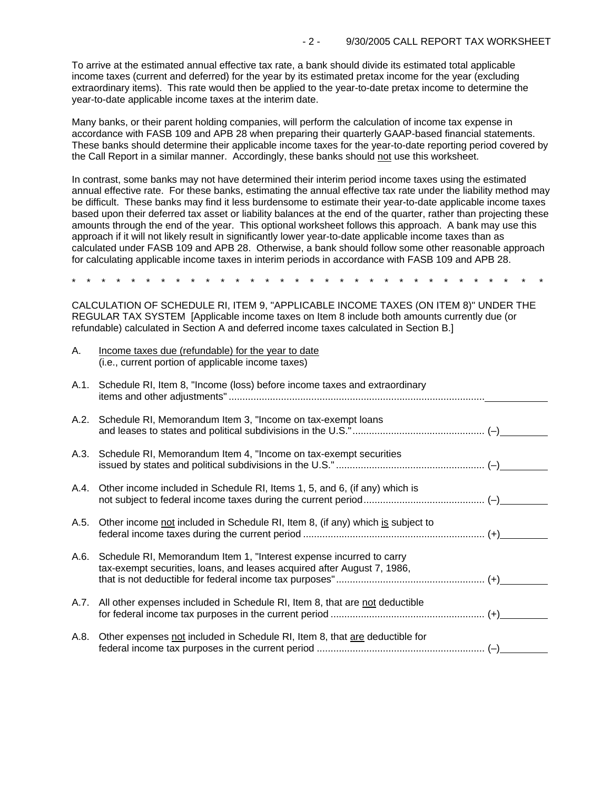To arrive at the estimated annual effective tax rate, a bank should divide its estimated total applicable income taxes (current and deferred) for the year by its estimated pretax income for the year (excluding extraordinary items). This rate would then be applied to the year-to-date pretax income to determine the year-to-date applicable income taxes at the interim date.

Many banks, or their parent holding companies, will perform the calculation of income tax expense in accordance with FASB 109 and APB 28 when preparing their quarterly GAAP-based financial statements. These banks should determine their applicable income taxes for the year-to-date reporting period covered by the Call Report in a similar manner. Accordingly, these banks should not use this worksheet.

In contrast, some banks may not have determined their interim period income taxes using the estimated annual effective rate. For these banks, estimating the annual effective tax rate under the liability method may be difficult. These banks may find it less burdensome to estimate their year-to-date applicable income taxes based upon their deferred tax asset or liability balances at the end of the quarter, rather than projecting these amounts through the end of the year. This optional worksheet follows this approach. A bank may use this approach if it will not likely result in significantly lower year-to-date applicable income taxes than as calculated under FASB 109 and APB 28. Otherwise, a bank should follow some other reasonable approach for calculating applicable income taxes in interim periods in accordance with FASB 109 and APB 28.

\* \* \* \* \* \* \* \* \* \* \* \* \* \* \* \* \* \* \* \* \* \* \* \* \* \* \* \* \* \* \* \*

CALCULATION OF SCHEDULE RI, ITEM 9, "APPLICABLE INCOME TAXES (ON ITEM 8)" UNDER THE REGULAR TAX SYSTEM [Applicable income taxes on Item 8 include both amounts currently due (or refundable) calculated in Section A and deferred income taxes calculated in Section B.]

| А.   | Income taxes due (refundable) for the year to date<br>(i.e., current portion of applicable income taxes)                                            |  |
|------|-----------------------------------------------------------------------------------------------------------------------------------------------------|--|
| A.1. | Schedule RI, Item 8, "Income (loss) before income taxes and extraordinary                                                                           |  |
|      | A.2. Schedule RI, Memorandum Item 3, "Income on tax-exempt loans                                                                                    |  |
|      | A.3. Schedule RI, Memorandum Item 4, "Income on tax-exempt securities                                                                               |  |
|      | A.4. Other income included in Schedule RI, Items 1, 5, and 6, (if any) which is                                                                     |  |
| A.5. | Other income not included in Schedule RI, Item 8, (if any) which is subject to                                                                      |  |
|      | A.6. Schedule RI, Memorandum Item 1, "Interest expense incurred to carry<br>tax-exempt securities, loans, and leases acquired after August 7, 1986, |  |
|      | A.7. All other expenses included in Schedule RI, Item 8, that are not deductible                                                                    |  |
| A.8. | Other expenses not included in Schedule RI, Item 8, that are deductible for                                                                         |  |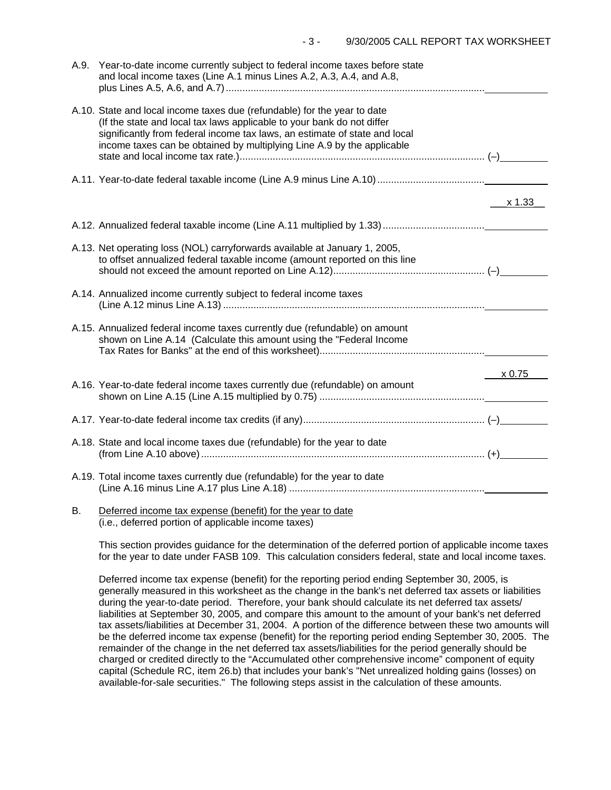| A.9. | Year-to-date income currently subject to federal income taxes before state<br>and local income taxes (Line A.1 minus Lines A.2, A.3, A.4, and A.8,                                                                                                                                                         |        |
|------|------------------------------------------------------------------------------------------------------------------------------------------------------------------------------------------------------------------------------------------------------------------------------------------------------------|--------|
|      | A.10. State and local income taxes due (refundable) for the year to date<br>(If the state and local tax laws applicable to your bank do not differ<br>significantly from federal income tax laws, an estimate of state and local<br>income taxes can be obtained by multiplying Line A.9 by the applicable |        |
|      |                                                                                                                                                                                                                                                                                                            |        |
|      |                                                                                                                                                                                                                                                                                                            | x 1.33 |
|      |                                                                                                                                                                                                                                                                                                            |        |
|      | A.13. Net operating loss (NOL) carryforwards available at January 1, 2005,<br>to offset annualized federal taxable income (amount reported on this line                                                                                                                                                    |        |
|      | A.14. Annualized income currently subject to federal income taxes                                                                                                                                                                                                                                          |        |
|      | A.15. Annualized federal income taxes currently due (refundable) on amount<br>shown on Line A.14 (Calculate this amount using the "Federal Income                                                                                                                                                          |        |
|      |                                                                                                                                                                                                                                                                                                            | x 0.75 |
|      | A.16. Year-to-date federal income taxes currently due (refundable) on amount                                                                                                                                                                                                                               |        |
|      |                                                                                                                                                                                                                                                                                                            |        |
|      | A.18. State and local income taxes due (refundable) for the year to date                                                                                                                                                                                                                                   |        |
|      | A.19. Total income taxes currently due (refundable) for the year to date                                                                                                                                                                                                                                   |        |
| В.   | Deferred income tax expense (benefit) for the year to date                                                                                                                                                                                                                                                 |        |

(i.e., deferred portion of applicable income taxes)

This section provides guidance for the determination of the deferred portion of applicable income taxes for the year to date under FASB 109. This calculation considers federal, state and local income taxes.

Deferred income tax expense (benefit) for the reporting period ending September 30, 2005, is generally measured in this worksheet as the change in the bank's net deferred tax assets or liabilities during the year-to-date period. Therefore, your bank should calculate its net deferred tax assets/ liabilities at September 30, 2005, and compare this amount to the amount of your bank's net deferred tax assets/liabilities at December 31, 2004. A portion of the difference between these two amounts will be the deferred income tax expense (benefit) for the reporting period ending September 30, 2005. The remainder of the change in the net deferred tax assets/liabilities for the period generally should be charged or credited directly to the "Accumulated other comprehensive income" component of equity capital (Schedule RC, item 26.b) that includes your bank's "Net unrealized holding gains (losses) on available-for-sale securities." The following steps assist in the calculation of these amounts.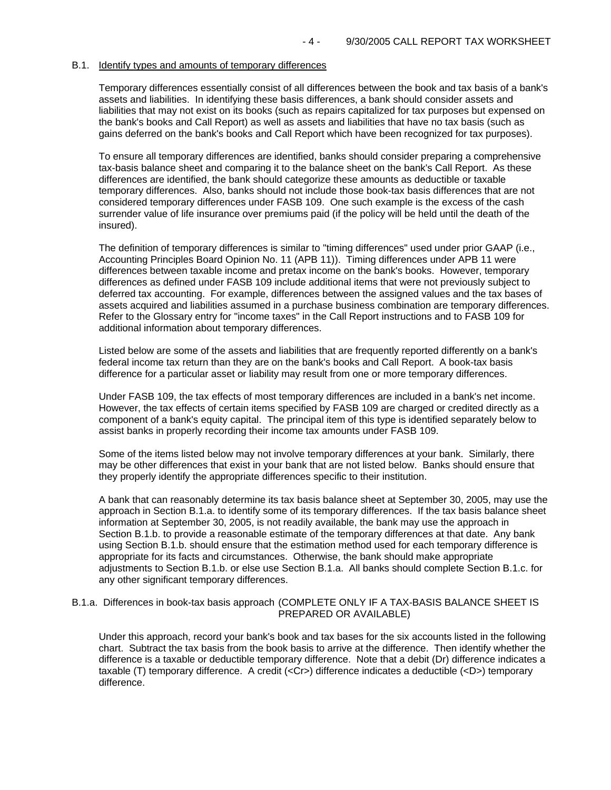### B.1. Identify types and amounts of temporary differences

Temporary differences essentially consist of all differences between the book and tax basis of a bank's assets and liabilities. In identifying these basis differences, a bank should consider assets and liabilities that may not exist on its books (such as repairs capitalized for tax purposes but expensed on the bank's books and Call Report) as well as assets and liabilities that have no tax basis (such as gains deferred on the bank's books and Call Report which have been recognized for tax purposes).

To ensure all temporary differences are identified, banks should consider preparing a comprehensive tax-basis balance sheet and comparing it to the balance sheet on the bank's Call Report. As these differences are identified, the bank should categorize these amounts as deductible or taxable temporary differences. Also, banks should not include those book-tax basis differences that are not considered temporary differences under FASB 109. One such example is the excess of the cash surrender value of life insurance over premiums paid (if the policy will be held until the death of the insured).

The definition of temporary differences is similar to "timing differences" used under prior GAAP (i.e., Accounting Principles Board Opinion No. 11 (APB 11)). Timing differences under APB 11 were differences between taxable income and pretax income on the bank's books. However, temporary differences as defined under FASB 109 include additional items that were not previously subject to deferred tax accounting. For example, differences between the assigned values and the tax bases of assets acquired and liabilities assumed in a purchase business combination are temporary differences. Refer to the Glossary entry for "income taxes" in the Call Report instructions and to FASB 109 for additional information about temporary differences.

Listed below are some of the assets and liabilities that are frequently reported differently on a bank's federal income tax return than they are on the bank's books and Call Report. A book-tax basis difference for a particular asset or liability may result from one or more temporary differences.

Under FASB 109, the tax effects of most temporary differences are included in a bank's net income. However, the tax effects of certain items specified by FASB 109 are charged or credited directly as a component of a bank's equity capital. The principal item of this type is identified separately below to assist banks in properly recording their income tax amounts under FASB 109.

Some of the items listed below may not involve temporary differences at your bank. Similarly, there may be other differences that exist in your bank that are not listed below. Banks should ensure that they properly identify the appropriate differences specific to their institution.

A bank that can reasonably determine its tax basis balance sheet at September 30, 2005, may use the approach in Section B.1.a. to identify some of its temporary differences. If the tax basis balance sheet information at September 30, 2005, is not readily available, the bank may use the approach in Section B.1.b. to provide a reasonable estimate of the temporary differences at that date. Any bank using Section B.1.b. should ensure that the estimation method used for each temporary difference is appropriate for its facts and circumstances. Otherwise, the bank should make appropriate adjustments to Section B.1.b. or else use Section B.1.a. All banks should complete Section B.1.c. for any other significant temporary differences.

### B.1.a. Differences in book-tax basis approach (COMPLETE ONLY IF A TAX-BASIS BALANCE SHEET IS PREPARED OR AVAILABLE)

Under this approach, record your bank's book and tax bases for the six accounts listed in the following chart. Subtract the tax basis from the book basis to arrive at the difference. Then identify whether the difference is a taxable or deductible temporary difference. Note that a debit (Dr) difference indicates a taxable (T) temporary difference. A credit (<Cr>) difference indicates a deductible (<D>) temporary difference.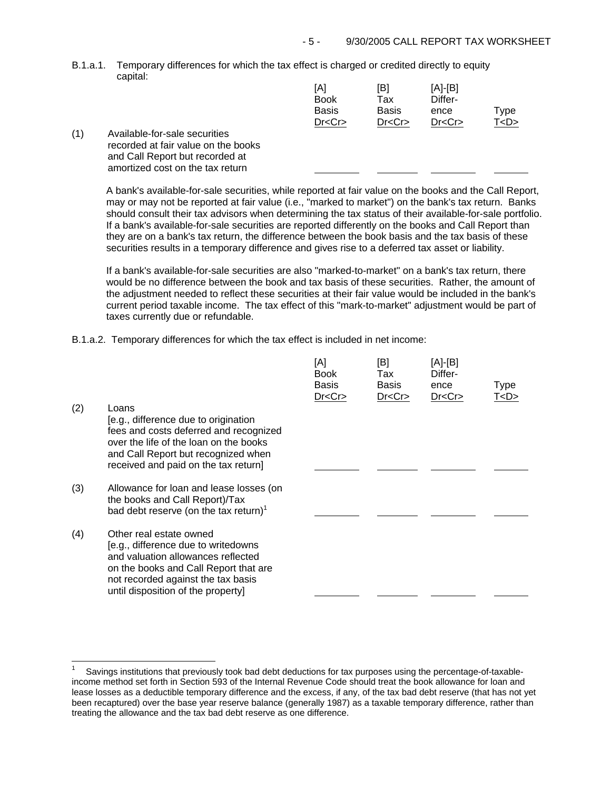B.1.a.1. Temporary differences for which the tax effect is charged or credited directly to equity capital:

|                  | [A]<br><b>Book</b> | [B]<br>Tax   | $[A]-[B]$<br>Differ- |         |
|------------------|--------------------|--------------|----------------------|---------|
|                  | <b>Basis</b>       | <b>Basis</b> | ence                 | Type    |
|                  | Dr < Cr            | Dr < Cr      | Dr < Cr              | T < D > |
| ies<br>the books |                    |              |                      |         |

 $(1)$  Available-for-sale securities recorded at fair value on and Call Report but recorded at amortized cost on the tax return

j.

A bank's available-for-sale securities, while reported at fair value on the books and the Call Report, may or may not be reported at fair value (i.e., "marked to market") on the bank's tax return. Banks should consult their tax advisors when determining the tax status of their available-for-sale portfolio. If a bank's available-for-sale securities are reported differently on the books and Call Report than they are on a bank's tax return, the difference between the book basis and the tax basis of these securities results in a temporary difference and gives rise to a deferred tax asset or liability.

If a bank's available-for-sale securities are also "marked-to-market" on a bank's tax return, there would be no difference between the book and tax basis of these securities. Rather, the amount of the adjustment needed to reflect these securities at their fair value would be included in the bank's current period taxable income. The tax effect of this "mark-to-market" adjustment would be part of taxes currently due or refundable.

B.1.a.2. Temporary differences for which the tax effect is included in net income:

| (2) | Loans<br>[e.g., difference due to origination<br>fees and costs deferred and recognized<br>over the life of the loan on the books<br>and Call Report but recognized when<br>received and paid on the tax return]          | [A]<br><b>Book</b><br><b>Basis</b><br>Dr < Cr | [B]<br>Tax<br>Basis<br>Dr < Cr | [A]-[B]<br>Differ-<br>ence<br>Dr < Cr | <b>Type</b><br>T <d></d> |
|-----|---------------------------------------------------------------------------------------------------------------------------------------------------------------------------------------------------------------------------|-----------------------------------------------|--------------------------------|---------------------------------------|--------------------------|
| (3) | Allowance for loan and lease losses (on<br>the books and Call Report)/Tax<br>bad debt reserve (on the tax return) <sup>1</sup>                                                                                            |                                               |                                |                                       |                          |
| (4) | Other real estate owned<br>[e.g., difference due to writedowns<br>and valuation allowances reflected<br>on the books and Call Report that are<br>not recorded against the tax basis<br>until disposition of the property] |                                               |                                |                                       |                          |

Savings institutions that previously took bad debt deductions for tax purposes using the percentage-of-taxableincome method set forth in Section 593 of the Internal Revenue Code should treat the book allowance for loan and lease losses as a deductible temporary difference and the excess, if any, of the tax bad debt reserve (that has not yet been recaptured) over the base year reserve balance (generally 1987) as a taxable temporary difference, rather than treating the allowance and the tax bad debt reserve as one difference. 1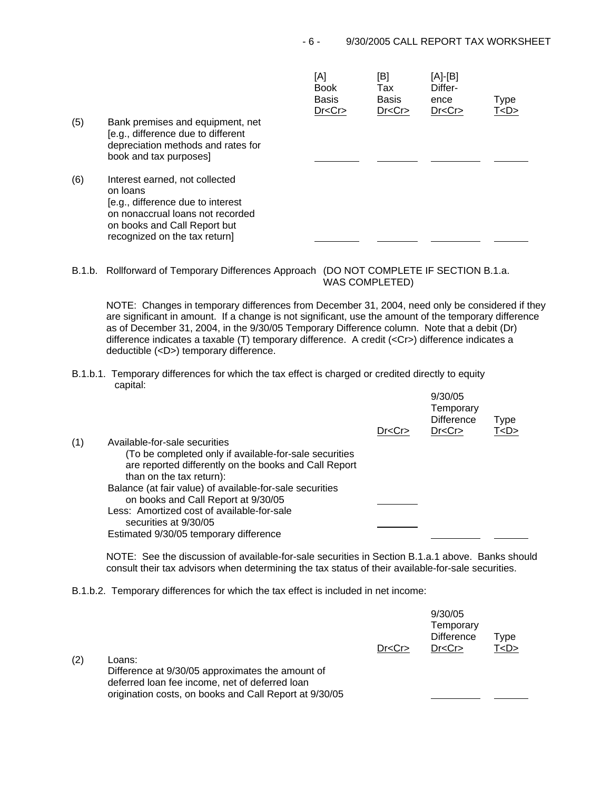| (5) | Bank premises and equipment, net                                                                                                                                                     | [A]<br><b>Book</b><br><b>Basis</b><br>Dr < Cr | [B]<br>Tax<br><b>Basis</b><br>Dr < Cr | [A]-[B]<br>Differ-<br>ence<br>Dr < Cr | Type<br>T < D > |
|-----|--------------------------------------------------------------------------------------------------------------------------------------------------------------------------------------|-----------------------------------------------|---------------------------------------|---------------------------------------|-----------------|
|     | [e.g., difference due to different<br>depreciation methods and rates for<br>book and tax purposes]                                                                                   |                                               |                                       |                                       |                 |
| (6) | Interest earned, not collected<br>on loans<br>[e.g., difference due to interest<br>on nonaccrual loans not recorded<br>on books and Call Report but<br>recognized on the tax return] |                                               |                                       |                                       |                 |

B.1.b. Rollforward of Temporary Differences Approach (DO NOT COMPLETE IF SECTION B.1.a.

WAS COMPLETED)

 $9/30/25$ 

NOTE: Changes in temporary differences from December 31, 2004, need only be considered if they are significant in amount. If a change is not significant, use the amount of the temporary difference as of December 31, 2004, in the 9/30/05 Temporary Difference column. Note that a debit (Dr) difference indicates a taxable (T) temporary difference. A credit (<Cr>) difference indicates a deductible (<D>) temporary difference.

B.1.b.1. Temporary differences for which the tax effect is charged or credited directly to equity capital:

|     |                                                          | Dr < Cr | 9/30/05<br>Temporary<br><b>Difference</b><br>Dr < Cr | Type<br>T < D > |
|-----|----------------------------------------------------------|---------|------------------------------------------------------|-----------------|
| (1) | Available-for-sale securities                            |         |                                                      |                 |
|     | (To be completed only if available-for-sale securities   |         |                                                      |                 |
|     | are reported differently on the books and Call Report    |         |                                                      |                 |
|     | than on the tax return):                                 |         |                                                      |                 |
|     | Balance (at fair value) of available-for-sale securities |         |                                                      |                 |
|     | on books and Call Report at 9/30/05                      |         |                                                      |                 |
|     | Less: Amortized cost of available-for-sale               |         |                                                      |                 |
|     | securities at 9/30/05                                    |         |                                                      |                 |
|     | Estimated 9/30/05 temporary difference                   |         |                                                      |                 |

NOTE: See the discussion of available-for-sale securities in Section B.1.a.1 above. Banks should consult their tax advisors when determining the tax status of their available-for-sale securities.

B.1.b.2. Temporary differences for which the tax effect is included in net income:

|     |                                                                                                    | Dr < Cr | 9/30/05<br>Temporary<br><b>Difference</b><br>Dr < Cr | $\tau$ ype<br>T <d></d> |
|-----|----------------------------------------------------------------------------------------------------|---------|------------------------------------------------------|-------------------------|
| (2) | Loans:                                                                                             |         |                                                      |                         |
|     | Difference at 9/30/05 approximates the amount of<br>deferred loan fee income, net of deferred loan |         |                                                      |                         |
|     | origination costs, on books and Call Report at 9/30/05                                             |         |                                                      |                         |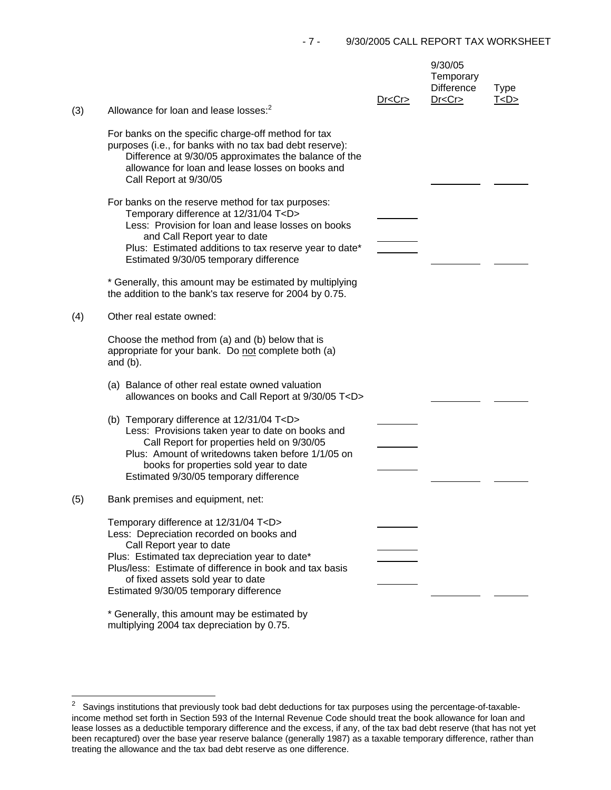|     |                                                                                                                                                                                                                                                                                                                                                            | Dr < Cr | 9/30/05<br>Temporary<br><b>Difference</b><br>Dr < Cr | <b>Type</b><br>T < D > |
|-----|------------------------------------------------------------------------------------------------------------------------------------------------------------------------------------------------------------------------------------------------------------------------------------------------------------------------------------------------------------|---------|------------------------------------------------------|------------------------|
| (3) | Allowance for loan and lease losses: <sup>2</sup>                                                                                                                                                                                                                                                                                                          |         |                                                      |                        |
|     | For banks on the specific charge-off method for tax<br>purposes (i.e., for banks with no tax bad debt reserve):<br>Difference at 9/30/05 approximates the balance of the<br>allowance for loan and lease losses on books and<br>Call Report at 9/30/05                                                                                                     |         |                                                      |                        |
|     | For banks on the reserve method for tax purposes:<br>Temporary difference at 12/31/04 T <d><br/>Less: Provision for loan and lease losses on books<br/>and Call Report year to date<br/>Plus: Estimated additions to tax reserve year to date*<br/>Estimated 9/30/05 temporary difference<br/>* Generally, this amount may be estimated by multiplying</d> |         |                                                      |                        |
|     | the addition to the bank's tax reserve for 2004 by 0.75.                                                                                                                                                                                                                                                                                                   |         |                                                      |                        |
| (4) | Other real estate owned:                                                                                                                                                                                                                                                                                                                                   |         |                                                      |                        |
|     | Choose the method from (a) and (b) below that is<br>appropriate for your bank. Do not complete both (a)<br>and $(b)$ .                                                                                                                                                                                                                                     |         |                                                      |                        |
|     | (a) Balance of other real estate owned valuation<br>allowances on books and Call Report at 9/30/05 T <d></d>                                                                                                                                                                                                                                               |         |                                                      |                        |
|     | (b) Temporary difference at 12/31/04 T <d><br/>Less: Provisions taken year to date on books and<br/>Call Report for properties held on 9/30/05<br/>Plus: Amount of writedowns taken before 1/1/05 on<br/>books for properties sold year to date<br/>Estimated 9/30/05 temporary difference</d>                                                             |         |                                                      |                        |
| (5) | Bank premises and equipment, net:                                                                                                                                                                                                                                                                                                                          |         |                                                      |                        |
|     | Temporary difference at 12/31/04 T <d><br/>Less: Depreciation recorded on books and<br/>Call Report year to date<br/>Plus: Estimated tax depreciation year to date*<br/>Plus/less: Estimate of difference in book and tax basis<br/>of fixed assets sold year to date<br/>Estimated 9/30/05 temporary difference</d>                                       |         |                                                      |                        |
|     | * Generally, this amount may be estimated by                                                                                                                                                                                                                                                                                                               |         |                                                      |                        |

multiplying 2004 tax depreciation by 0.75.

i<br>L

 2 Savings institutions that previously took bad debt deductions for tax purposes using the percentage-of-taxableincome method set forth in Section 593 of the Internal Revenue Code should treat the book allowance for loan and lease losses as a deductible temporary difference and the excess, if any, of the tax bad debt reserve (that has not yet been recaptured) over the base year reserve balance (generally 1987) as a taxable temporary difference, rather than treating the allowance and the tax bad debt reserve as one difference.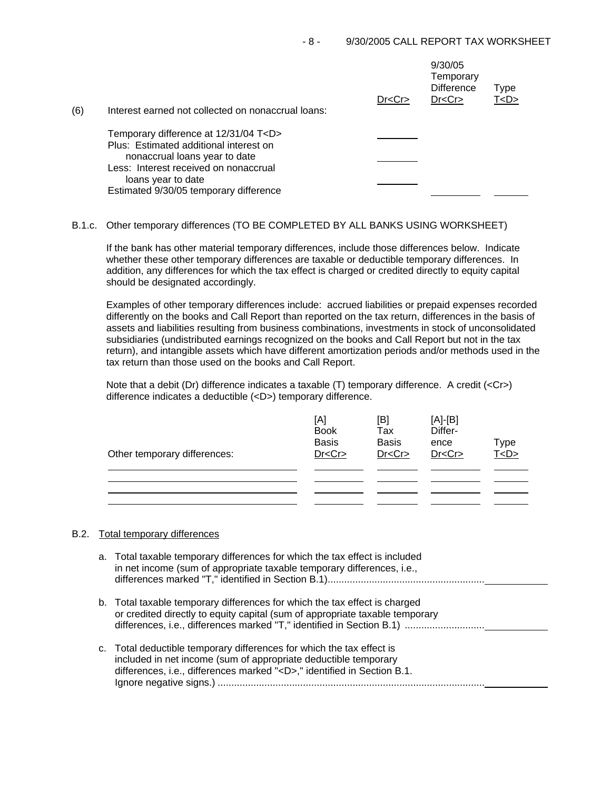| (6) | Interest earned not collected on nonaccrual loans:                                                                      | Dr < Cr | 9/30/05<br>Temporary<br><b>Difference</b><br>Dr < Cr | Type<br>T <d></d> |
|-----|-------------------------------------------------------------------------------------------------------------------------|---------|------------------------------------------------------|-------------------|
|     | Temporary difference at 12/31/04 T <d><br/>Plus: Estimated additional interest on<br/>nonaccrual loans year to date</d> |         |                                                      |                   |
|     | Less: Interest received on nonaccrual<br>loans year to date<br>Estimated 9/30/05 temporary difference                   |         |                                                      |                   |

# B.1.c. Other temporary differences (TO BE COMPLETED BY ALL BANKS USING WORKSHEET)

If the bank has other material temporary differences, include those differences below. Indicate whether these other temporary differences are taxable or deductible temporary differences. In addition, any differences for which the tax effect is charged or credited directly to equity capital should be designated accordingly.

Examples of other temporary differences include: accrued liabilities or prepaid expenses recorded differently on the books and Call Report than reported on the tax return, differences in the basis of assets and liabilities resulting from business combinations, investments in stock of unconsolidated subsidiaries (undistributed earnings recognized on the books and Call Report but not in the tax return), and intangible assets which have different amortization periods and/or methods used in the tax return than those used on the books and Call Report.

Note that a debit (Dr) difference indicates a taxable (T) temporary difference. A credit (<Cr>) difference indicates a deductible (<D>) temporary difference.

| [A]<br><b>Book</b> | [B]<br>Tax   | $[A]-[B]$<br>Differ- | Type           |
|--------------------|--------------|----------------------|----------------|
| Dr < Cr            | Dr < Cr      | Dr < Cr              | T <sub>2</sub> |
|                    |              |                      |                |
|                    |              |                      |                |
|                    | <b>Basis</b> | <b>Basis</b>         | ence           |

### B.2. Total temporary differences

| a. Total taxable temporary differences for which the tax effect is included<br>in net income (sum of appropriate taxable temporary differences, i.e.,                                                                               |
|-------------------------------------------------------------------------------------------------------------------------------------------------------------------------------------------------------------------------------------|
| b. Total taxable temporary differences for which the tax effect is charged<br>or credited directly to equity capital (sum of appropriate taxable temporary<br>differences, i.e., differences marked "T," identified in Section B.1) |
| c. Total deductible temporary differences for which the tax effect is<br>included in net income (sum of appropriate deductible temporary<br>differences, i.e., differences marked " <d>," identified in Section B.1.</d>            |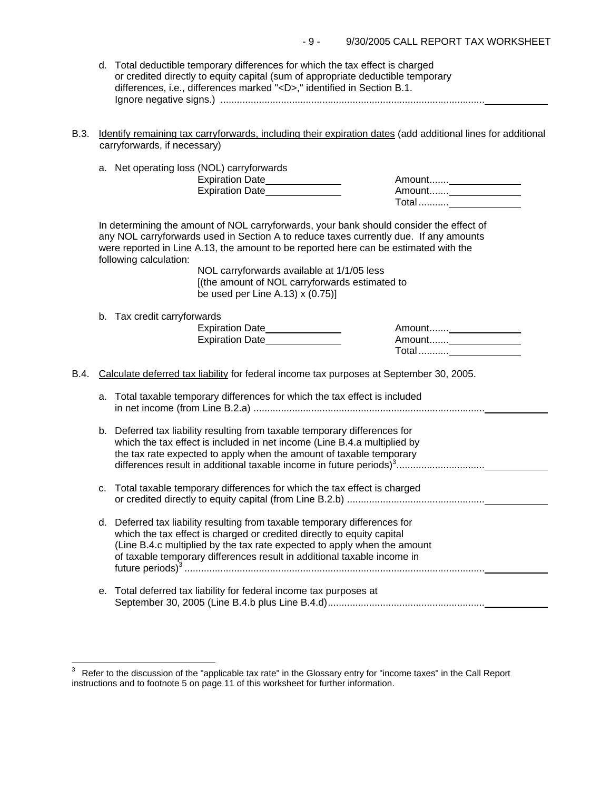| d. Total deductible temporary differences for which the tax effect is charged   |
|---------------------------------------------------------------------------------|
| or credited directly to equity capital (sum of appropriate deductible temporary |
| differences, i.e., differences marked " <d>," identified in Section B.1.</d>    |
|                                                                                 |

B.3. Identify remaining tax carryforwards, including their expiration dates (add additional lines for additional carryforwards, if necessary)

|      |    | a. Net operating loss (NOL) carryforwards<br>Expiration Date_______________<br>Expiration Date                                                                                                                                                                                                                                                                                                                                                |  |  |  |  |
|------|----|-----------------------------------------------------------------------------------------------------------------------------------------------------------------------------------------------------------------------------------------------------------------------------------------------------------------------------------------------------------------------------------------------------------------------------------------------|--|--|--|--|
|      |    | In determining the amount of NOL carryforwards, your bank should consider the effect of<br>any NOL carryforwards used in Section A to reduce taxes currently due. If any amounts<br>were reported in Line A.13, the amount to be reported here can be estimated with the<br>following calculation:<br>NOL carryforwards available at 1/1/05 less<br>[(the amount of NOL carryforwards estimated to<br>be used per Line A.13) $\times$ (0.75)] |  |  |  |  |
|      |    | b. Tax credit carryforwards<br>Expiration Date<br>Expiration Date                                                                                                                                                                                                                                                                                                                                                                             |  |  |  |  |
| B.4. |    | Calculate deferred tax liability for federal income tax purposes at September 30, 2005.                                                                                                                                                                                                                                                                                                                                                       |  |  |  |  |
|      | a. | Total taxable temporary differences for which the tax effect is included                                                                                                                                                                                                                                                                                                                                                                      |  |  |  |  |
|      |    | b. Deferred tax liability resulting from taxable temporary differences for<br>which the tax effect is included in net income (Line B.4.a multiplied by<br>the tax rate expected to apply when the amount of taxable temporary                                                                                                                                                                                                                 |  |  |  |  |
|      | c. | Total taxable temporary differences for which the tax effect is charged                                                                                                                                                                                                                                                                                                                                                                       |  |  |  |  |
|      | d. | Deferred tax liability resulting from taxable temporary differences for<br>which the tax effect is charged or credited directly to equity capital<br>(Line B.4.c multiplied by the tax rate expected to apply when the amount<br>of taxable temporary differences result in additional taxable income in                                                                                                                                      |  |  |  |  |
|      | е. | Total deferred tax liability for federal income tax purposes at                                                                                                                                                                                                                                                                                                                                                                               |  |  |  |  |

 $\overline{a}$ 

 $3$  Refer to the discussion of the "applicable tax rate" in the Glossary entry for "income taxes" in the Call Report instructions and to footnote 5 on page 11 of this worksheet for further information.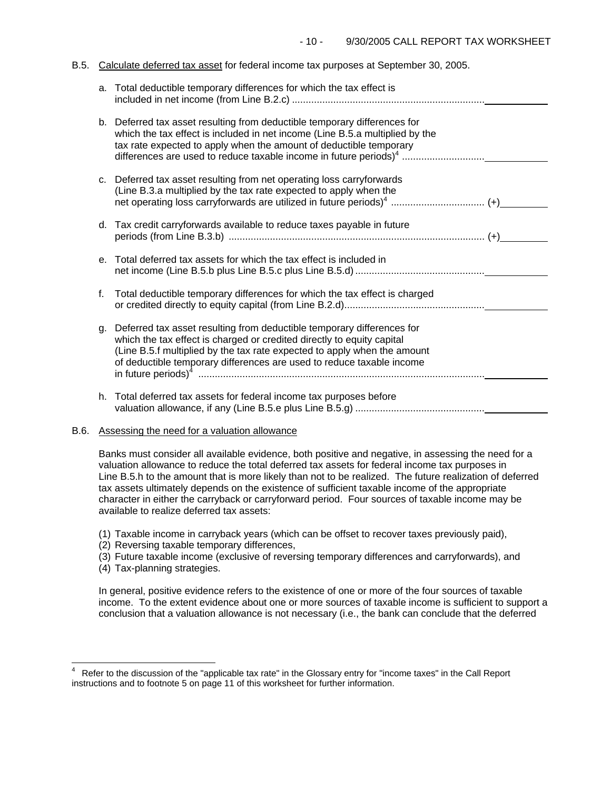#### B.5. Calculate deferred tax asset for federal income tax purposes at September 30, 2005.

|    | a. Total deductible temporary differences for which the tax effect is                                                                                                                                                                                                                                            |
|----|------------------------------------------------------------------------------------------------------------------------------------------------------------------------------------------------------------------------------------------------------------------------------------------------------------------|
|    | b. Deferred tax asset resulting from deductible temporary differences for<br>which the tax effect is included in net income (Line B.5.a multiplied by the<br>tax rate expected to apply when the amount of deductible temporary<br>differences are used to reduce taxable income in future periods) <sup>4</sup> |
|    | c. Deferred tax asset resulting from net operating loss carryforwards<br>(Line B.3.a multiplied by the tax rate expected to apply when the                                                                                                                                                                       |
|    | d. Tax credit carryforwards available to reduce taxes payable in future                                                                                                                                                                                                                                          |
| e. | Total deferred tax assets for which the tax effect is included in                                                                                                                                                                                                                                                |
| f. | Total deductible temporary differences for which the tax effect is charged                                                                                                                                                                                                                                       |
| q. | Deferred tax asset resulting from deductible temporary differences for<br>which the tax effect is charged or credited directly to equity capital<br>(Line B.5.f multiplied by the tax rate expected to apply when the amount<br>of deductible temporary differences are used to reduce taxable income            |
|    | h. Total deferred tax assets for federal income tax purposes before                                                                                                                                                                                                                                              |

# B.6. Assessing the need for a valuation allowance

Banks must consider all available evidence, both positive and negative, in assessing the need for a valuation allowance to reduce the total deferred tax assets for federal income tax purposes in Line B.5.h to the amount that is more likely than not to be realized. The future realization of deferred tax assets ultimately depends on the existence of sufficient taxable income of the appropriate character in either the carryback or carryforward period. Four sources of taxable income may be available to realize deferred tax assets:

- (1) Taxable income in carryback years (which can be offset to recover taxes previously paid),
- (2) Reversing taxable temporary differences,
- (3) Future taxable income (exclusive of reversing temporary differences and carryforwards), and
- (4) Tax-planning strategies.

 $\frac{1}{2}$ 

In general, positive evidence refers to the existence of one or more of the four sources of taxable income. To the extent evidence about one or more sources of taxable income is sufficient to support a conclusion that a valuation allowance is not necessary (i.e., the bank can conclude that the deferred

<sup>4</sup> Refer to the discussion of the "applicable tax rate" in the Glossary entry for "income taxes" in the Call Report instructions and to footnote 5 on page 11 of this worksheet for further information.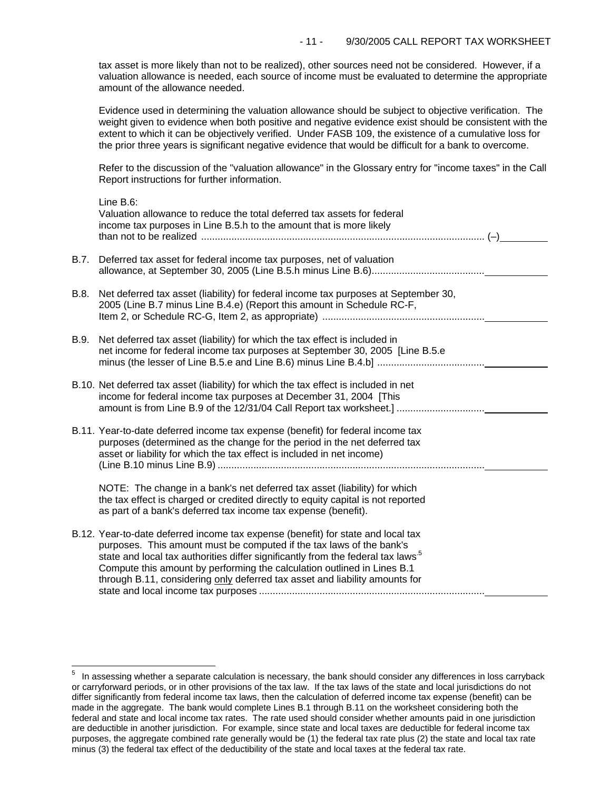tax asset is more likely than not to be realized), other sources need not be considered. However, if a valuation allowance is needed, each source of income must be evaluated to determine the appropriate amount of the allowance needed.

Evidence used in determining the valuation allowance should be subject to objective verification. The weight given to evidence when both positive and negative evidence exist should be consistent with the extent to which it can be objectively verified. Under FASB 109, the existence of a cumulative loss for the prior three years is significant negative evidence that would be difficult for a bank to overcome.

Refer to the discussion of the "valuation allowance" in the Glossary entry for "income taxes" in the Call Report instructions for further information.

|      | Line $B.6$ :<br>Valuation allowance to reduce the total deferred tax assets for federal<br>income tax purposes in Line B.5.h to the amount that is more likely                                                                                                                                                                                                                                                    |  |
|------|-------------------------------------------------------------------------------------------------------------------------------------------------------------------------------------------------------------------------------------------------------------------------------------------------------------------------------------------------------------------------------------------------------------------|--|
| B.7. | Deferred tax asset for federal income tax purposes, net of valuation                                                                                                                                                                                                                                                                                                                                              |  |
| B.8. | Net deferred tax asset (liability) for federal income tax purposes at September 30,<br>2005 (Line B.7 minus Line B.4.e) (Report this amount in Schedule RC-F,                                                                                                                                                                                                                                                     |  |
| B.9. | Net deferred tax asset (liability) for which the tax effect is included in<br>net income for federal income tax purposes at September 30, 2005 [Line B.5.e                                                                                                                                                                                                                                                        |  |
|      | B.10. Net deferred tax asset (liability) for which the tax effect is included in net<br>income for federal income tax purposes at December 31, 2004 [This<br>amount is from Line B.9 of the 12/31/04 Call Report tax worksheet.]                                                                                                                                                                                  |  |
|      | B.11. Year-to-date deferred income tax expense (benefit) for federal income tax<br>purposes (determined as the change for the period in the net deferred tax<br>asset or liability for which the tax effect is included in net income)                                                                                                                                                                            |  |
|      | NOTE: The change in a bank's net deferred tax asset (liability) for which<br>the tax effect is charged or credited directly to equity capital is not reported<br>as part of a bank's deferred tax income tax expense (benefit).                                                                                                                                                                                   |  |
|      | B.12. Year-to-date deferred income tax expense (benefit) for state and local tax<br>purposes. This amount must be computed if the tax laws of the bank's<br>state and local tax authorities differ significantly from the federal tax laws <sup>5</sup><br>Compute this amount by performing the calculation outlined in Lines B.1<br>through B.11, considering only deferred tax asset and liability amounts for |  |

i<br>L

 $5$  In assessing whether a separate calculation is necessary, the bank should consider any differences in loss carryback or carryforward periods, or in other provisions of the tax law. If the tax laws of the state and local jurisdictions do not differ significantly from federal income tax laws, then the calculation of deferred income tax expense (benefit) can be made in the aggregate. The bank would complete Lines B.1 through B.11 on the worksheet considering both the federal and state and local income tax rates. The rate used should consider whether amounts paid in one jurisdiction are deductible in another jurisdiction. For example, since state and local taxes are deductible for federal income tax purposes, the aggregate combined rate generally would be (1) the federal tax rate plus (2) the state and local tax rate minus (3) the federal tax effect of the deductibility of the state and local taxes at the federal tax rate.